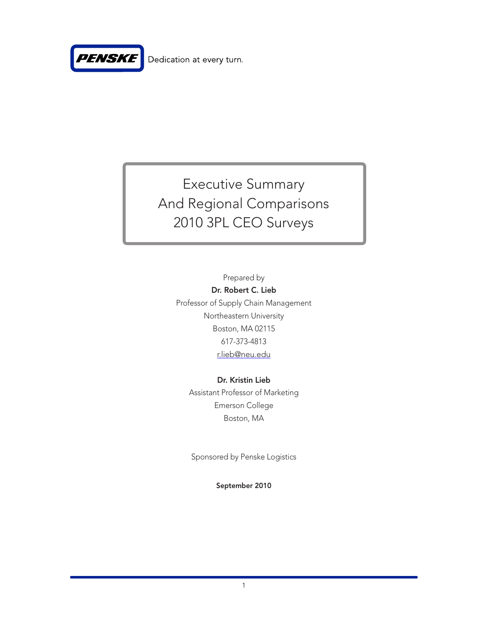

# Executive Summary And Regional Comparisons 2010 3PL CEO Surveys

Prepared by Dr. Robert C. Lieb Professor of Supply Chain Management Northeastern University Boston, MA 02115 617-373-4813 r.lieb@neu.edu

### Dr. Kristin Lieb Assistant Professor of Marketing

Emerson College Boston, MA

Sponsored by Penske Logistics

September 2010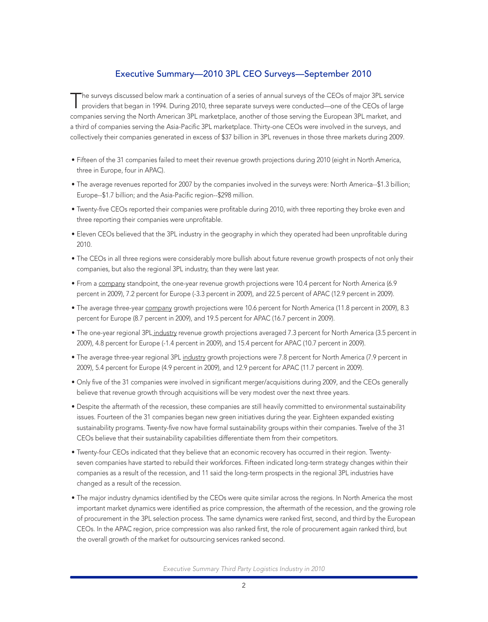#### Executive Summary—2010 3PL CEO Surveys—September 2010

The surveys discussed below mark a continuation of a series of annual surveys of the CEOs of major 3PL service<br>providers that began in 1994. During 2010, three separate surveys were conducted—one of the CEOs of large companies serving the North American 3PL marketplace, another of those serving the European 3PL market, and a third of companies serving the Asia-Pacific 3PL marketplace. Thirty-one CEOs were involved in the surveys, and collectively their companies generated in excess of \$37 billion in 3PL revenues in those three markets during 2009.

- • Fifteen of the 31 companies failed to meet their revenue growth projections during 2010 (eight in North America, three in Europe, four in APAC).
- The average revenues reported for 2007 by the companies involved in the surveys were: North America--\$1.3 billion; Europe--\$1.7 billion; and the Asia-Pacific region--\$298 million.
- • Twenty-five CEOs reported their companies were profitable during 2010, with three reporting they broke even and three reporting their companies were unprofitable.
- Eleven CEOs believed that the 3PL industry in the geography in which they operated had been unprofitable during 2010.
- The CEOs in all three regions were considerably more bullish about future revenue growth prospects of not only their companies, but also the regional 3PL industry, than they were last year.
- From a company standpoint, the one-year revenue growth projections were 10.4 percent for North America (6.9 percent in 2009), 7.2 percent for Europe (-3.3 percent in 2009), and 22.5 percent of APAC (12.9 percent in 2009).
- The average three-year company growth projections were 10.6 percent for North America (11.8 percent in 2009), 8.3 percent for Europe (8.7 percent in 2009), and 19.5 percent for APAC (16.7 percent in 2009).
- The one-year regional 3PL industry revenue growth projections averaged 7.3 percent for North America (3.5 percent in 2009), 4.8 percent for Europe (-1.4 percent in 2009), and 15.4 percent for APAC (10.7 percent in 2009).
- The average three-year regional 3PL industry growth projections were 7.8 percent for North America (7.9 percent in 2009), 5.4 percent for Europe (4.9 percent in 2009), and 12.9 percent for APAC (11.7 percent in 2009).
- • Only five of the 31 companies were involved in significant merger/acquisitions during 2009, and the CEOs generally believe that revenue growth through acquisitions will be very modest over the next three years.
- • Despite the aftermath of the recession, these companies are still heavily committed to environmental sustainability issues. Fourteen of the 31 companies began new green initiatives during the year. Eighteen expanded existing sustainability programs. Twenty-five now have formal sustainability groups within their companies. Twelve of the 31 CEOs believe that their sustainability capabilities differentiate them from their competitors.
- • Twenty-four CEOs indicated that they believe that an economic recovery has occurred in their region. Twentyseven companies have started to rebuild their workforces. Fifteen indicated long-term strategy changes within their companies as a result of the recession, and 11 said the long-term prospects in the regional 3PL industries have changed as a result of the recession.
- The major industry dynamics identified by the CEOs were quite similar across the regions. In North America the most important market dynamics were identified as price compression, the aftermath of the recession, and the growing role of procurement in the 3PL selection process. The same dynamics were ranked first, second, and third by the European CEOs. In the APAC region, price compression was also ranked first, the role of procurement again ranked third, but the overall growth of the market for outsourcing services ranked second.

*Executive Summary Third Party Logistics Industry in 2010*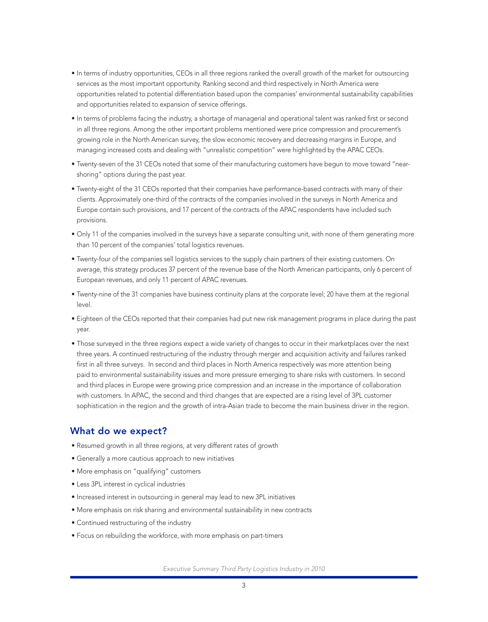- • In terms of industry opportunities, CEOs in all three regions ranked the overall growth of the market for outsourcing services as the most important opportunity. Ranking second and third respectively in North America were opportunities related to potential differentiation based upon the companies' environmental sustainability capabilities and opportunities related to expansion of service offerings.
- • In terms of problems facing the industry, a shortage of managerial and operational talent was ranked first or second in all three regions. Among the other important problems mentioned were price compression and procurement's growing role in the North American survey, the slow economic recovery and decreasing margins in Europe, and managing increased costs and dealing with "unrealistic competition" were highlighted by the APAC CEOs.
- • Twenty-seven of the 31 CEOs noted that some of their manufacturing customers have begun to move toward "nearshoring" options during the past year.
- • Twenty-eight of the 31 CEOs reported that their companies have performance-based contracts with many of their clients. Approximately one-third of the contracts of the companies involved in the surveys in North America and Europe contain such provisions, and 17 percent of the contracts of the APAC respondents have included such provisions.
- • Only 11 of the companies involved in the surveys have a separate consulting unit, with none of them generating more than 10 percent of the companies' total logistics revenues.
- • Twenty-four of the companies sell logistics services to the supply chain partners of their existing customers. On average, this strategy produces 37 percent of the revenue base of the North American participants, only 6 percent of European revenues, and only 11 percent of APAC revenues.
- • Twenty-nine of the 31 companies have business continuity plans at the corporate level; 20 have them at the regional level.
- • Eighteen of the CEOs reported that their companies had put new risk management programs in place during the past year.
- • Those surveyed in the three regions expect a wide variety of changes to occur in their marketplaces over the next three years. A continued restructuring of the industry through merger and acquisition activity and failures ranked first in all three surveys. In second and third places in North America respectively was more attention being paid to environmental sustainability issues and more pressure emerging to share risks with customers. In second and third places in Europe were growing price compression and an increase in the importance of collaboration with customers. In APAC, the second and third changes that are expected are a rising level of 3PL customer sophistication in the region and the growth of intra-Asian trade to become the main business driver in the region.

#### What do we expect?

- Resumed growth in all three regions, at very different rates of growth
- Generally a more cautious approach to new initiatives
- • More emphasis on "qualifying" customers
- • Less 3PL interest in cyclical industries
- • Increased interest in outsourcing in general may lead to new 3PL initiatives
- More emphasis on risk sharing and environmental sustainability in new contracts
- Continued restructuring of the industry
- Focus on rebuilding the workforce, with more emphasis on part-timers

*Executive Summary Third Party Logistics Industry in 2010*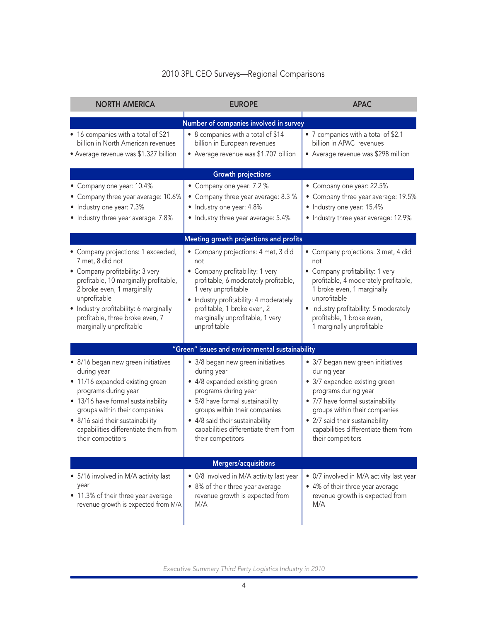## 2010 3PL CEO Surveys—Regional Comparisons

| <b>NORTH AMERICA</b>                                                                                                                                                                                                                                                                     | <b>EUROPE</b>                                                                                                                                                                                                                                                                  | <b>APAC</b>                                                                                                                                                                                                                                                                    |
|------------------------------------------------------------------------------------------------------------------------------------------------------------------------------------------------------------------------------------------------------------------------------------------|--------------------------------------------------------------------------------------------------------------------------------------------------------------------------------------------------------------------------------------------------------------------------------|--------------------------------------------------------------------------------------------------------------------------------------------------------------------------------------------------------------------------------------------------------------------------------|
|                                                                                                                                                                                                                                                                                          | Number of companies involved in survey                                                                                                                                                                                                                                         |                                                                                                                                                                                                                                                                                |
| • 16 companies with a total of \$21<br>billion in North American revenues<br>• Average revenue was \$1.327 billion                                                                                                                                                                       | • 8 companies with a total of \$14<br>billion in European revenues<br>• Average revenue was \$1.707 billion                                                                                                                                                                    | • 7 companies with a total of \$2.1<br>billion in APAC revenues<br>• Average revenue was \$298 million                                                                                                                                                                         |
|                                                                                                                                                                                                                                                                                          | <b>Growth projections</b>                                                                                                                                                                                                                                                      |                                                                                                                                                                                                                                                                                |
| • Company one year: 10.4%<br>• Company three year average: 10.6%<br>• Industry one year: 7.3%<br>• Industry three year average: 7.8%                                                                                                                                                     | • Company one year: 7.2 %<br>• Company three year average: 8.3 %<br>• Industry one year: 4.8%<br>• Industry three year average: 5.4%                                                                                                                                           | • Company one year: 22.5%<br>Company three year average: 19.5%<br>• Industry one year: 15.4%<br>• Industry three year average: 12.9%                                                                                                                                           |
|                                                                                                                                                                                                                                                                                          | Meeting growth projections and profits                                                                                                                                                                                                                                         |                                                                                                                                                                                                                                                                                |
| • Company projections: 1 exceeded,<br>7 met, 8 did not<br>• Company profitability: 3 very<br>profitable, 10 marginally profitable,<br>2 broke even, 1 marginally<br>unprofitable<br>• Industry profitability: 6 marginally<br>profitable, three broke even, 7<br>marginally unprofitable | • Company projections: 4 met, 3 did<br>not<br>• Company profitability: 1 very<br>profitable, 6 moderately profitable,<br>1 very unprofitable<br>• Industry profitability: 4 moderately<br>profitable, 1 broke even, 2<br>marginally unprofitable, 1 very<br>unprofitable       | • Company projections: 3 met, 4 did<br>not<br>• Company profitability: 1 very<br>profitable, 4 moderately profitable,<br>1 broke even, 1 marginally<br>unprofitable<br>• Industry profitability: 5 moderately<br>profitable, 1 broke even,<br>1 marginally unprofitable        |
|                                                                                                                                                                                                                                                                                          | "Green" issues and environmental sustainability                                                                                                                                                                                                                                |                                                                                                                                                                                                                                                                                |
| · 8/16 began new green initiatives<br>during year<br>• 11/16 expanded existing green<br>programs during year<br>• 13/16 have formal sustainability<br>groups within their companies<br>• 8/16 said their sustainability<br>capabilities differentiate them from<br>their competitors     | • 3/8 began new green initiatives<br>during year<br>• 4/8 expanded existing green<br>programs during year<br>• 5/8 have formal sustainability<br>groups within their companies<br>• 4/8 said their sustainability<br>capabilities differentiate them from<br>their competitors | • 3/7 began new green initiatives<br>during year<br>• 3/7 expanded existing green<br>programs during year<br>• 7/7 have formal sustainability<br>groups within their companies<br>• 2/7 said their sustainability<br>capabilities differentiate them from<br>their competitors |
|                                                                                                                                                                                                                                                                                          | Mergers/acquisitions                                                                                                                                                                                                                                                           |                                                                                                                                                                                                                                                                                |
| • 5/16 involved in M/A activity last<br>year<br>• 11.3% of their three year average<br>revenue growth is expected from M/A                                                                                                                                                               | • 0/8 involved in M/A activity last year<br>• 8% of their three year average<br>revenue growth is expected from<br>M/A                                                                                                                                                         | • 0/7 involved in M/A activity last year<br>• 4% of their three year average<br>revenue growth is expected from<br>M/A                                                                                                                                                         |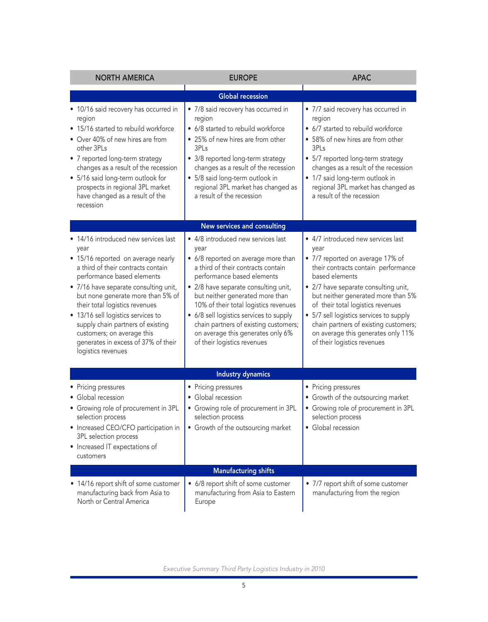| <b>NORTH AMERICA</b>                                                                                                                                                                                                                                                                                                                                                                                                                         | <b>EUROPE</b>                                                                                                                                                                                                                                                                                                                                                                                                                     | <b>APAC</b>                                                                                                                                                                                                                                                                                                                                                                                                         |
|----------------------------------------------------------------------------------------------------------------------------------------------------------------------------------------------------------------------------------------------------------------------------------------------------------------------------------------------------------------------------------------------------------------------------------------------|-----------------------------------------------------------------------------------------------------------------------------------------------------------------------------------------------------------------------------------------------------------------------------------------------------------------------------------------------------------------------------------------------------------------------------------|---------------------------------------------------------------------------------------------------------------------------------------------------------------------------------------------------------------------------------------------------------------------------------------------------------------------------------------------------------------------------------------------------------------------|
|                                                                                                                                                                                                                                                                                                                                                                                                                                              | <b>Global recession</b>                                                                                                                                                                                                                                                                                                                                                                                                           |                                                                                                                                                                                                                                                                                                                                                                                                                     |
| • 10/16 said recovery has occurred in<br>region<br>• 15/16 started to rebuild workforce<br>• Over 40% of new hires are from<br>other 3PLs<br>• 7 reported long-term strategy<br>changes as a result of the recession<br>• 5/16 said long-term outlook for<br>prospects in regional 3PL market<br>have changed as a result of the<br>recession                                                                                                | • 7/8 said recovery has occurred in<br>region<br>• 6/8 started to rebuild workforce<br>• 25% of new hires are from other<br>3PLs<br>• 3/8 reported long-term strategy<br>changes as a result of the recession<br>• 5/8 said long-term outlook in<br>regional 3PL market has changed as<br>a result of the recession                                                                                                               | • 7/7 said recovery has occurred in<br>region<br>• 6/7 started to rebuild workforce<br>• 58% of new hires are from other<br>3PLs<br>• 5/7 reported long-term strategy<br>changes as a result of the recession<br>• 1/7 said long-term outlook in<br>regional 3PL market has changed as<br>a result of the recession                                                                                                 |
|                                                                                                                                                                                                                                                                                                                                                                                                                                              | New services and consulting                                                                                                                                                                                                                                                                                                                                                                                                       |                                                                                                                                                                                                                                                                                                                                                                                                                     |
| • 14/16 introduced new services last<br>year<br>• 15/16 reported on average nearly<br>a third of their contracts contain<br>performance based elements<br>• 7/16 have separate consulting unit,<br>but none generate more than 5% of<br>their total logistics revenues<br>• 13/16 sell logistics services to<br>supply chain partners of existing<br>customers; on average this<br>generates in excess of 37% of their<br>logistics revenues | • 4/8 introduced new services last<br>year<br>• 6/8 reported on average more than<br>a third of their contracts contain<br>performance based elements<br>• 2/8 have separate consulting unit,<br>but neither generated more than<br>10% of their total logistics revenues<br>• 6/8 sell logistics services to supply<br>chain partners of existing customers;<br>on average this generates only 6%<br>of their logistics revenues | • 4/7 introduced new services last<br>year<br>• 7/7 reported on average 17% of<br>their contracts contain performance<br>based elements<br>• 2/7 have separate consulting unit,<br>but neither generated more than 5%<br>of their total logistics revenues<br>• 5/7 sell logistics services to supply<br>chain partners of existing customers;<br>on average this generates only 11%<br>of their logistics revenues |
|                                                                                                                                                                                                                                                                                                                                                                                                                                              | <b>Industry dynamics</b>                                                                                                                                                                                                                                                                                                                                                                                                          |                                                                                                                                                                                                                                                                                                                                                                                                                     |
| • Pricing pressures<br>• Global recession<br>• Growing role of procurement in 3PL<br>selection process<br>• Increased CEO/CFO participation in<br>3PL selection process<br>• Increased IT expectations of<br>customers                                                                                                                                                                                                                       | • Pricing pressures<br>• Global recession<br>• Growing role of procurement in 3PL<br>selection process<br>• Growth of the outsourcing market                                                                                                                                                                                                                                                                                      | • Pricing pressures<br>• Growth of the outsourcing market<br>• Growing role of procurement in 3PL<br>selection process<br>· Global recession                                                                                                                                                                                                                                                                        |
|                                                                                                                                                                                                                                                                                                                                                                                                                                              | <b>Manufacturing shifts</b>                                                                                                                                                                                                                                                                                                                                                                                                       |                                                                                                                                                                                                                                                                                                                                                                                                                     |
| • 14/16 report shift of some customer<br>manufacturing back from Asia to<br>North or Central America                                                                                                                                                                                                                                                                                                                                         | • 6/8 report shift of some customer<br>manufacturing from Asia to Eastern<br>Europe                                                                                                                                                                                                                                                                                                                                               | • 7/7 report shift of some customer<br>manufacturing from the region                                                                                                                                                                                                                                                                                                                                                |